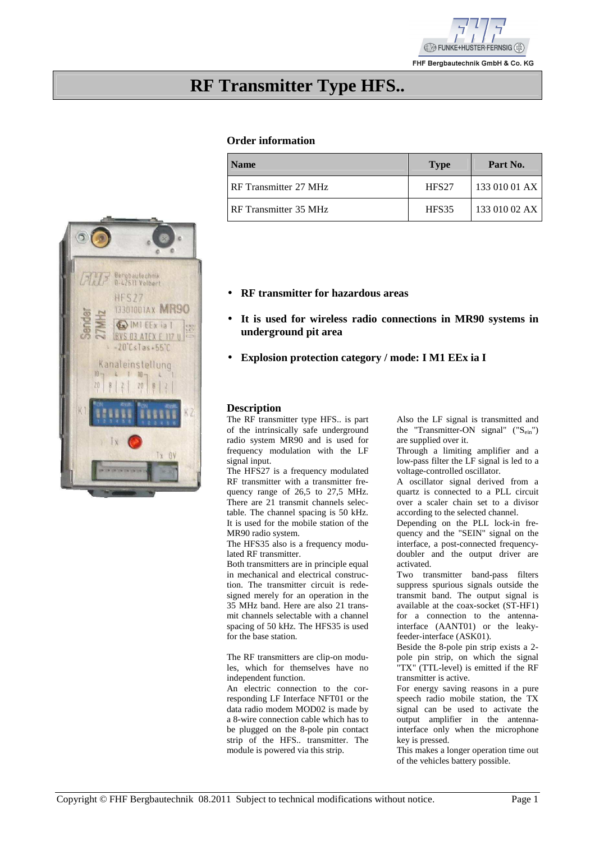

**RF Transmitter Type HFS..** 

## **Order information**

| <b>Name</b>             | <b>Type</b>       | Part No.      |
|-------------------------|-------------------|---------------|
| I RF Transmitter 27 MHz | HFS <sub>27</sub> | 133 010 01 AX |
| I RF Transmitter 35 MHz | HFS35             | 133 010 02 AX |



- **RF transmitter for hazardous areas**
- **It is used for wireless radio connections in MR90 systems in underground pit area**
- **Explosion protection category / mode: I M1 EEx ia I**

#### **Description**

The RF transmitter type HFS.. is part of the intrinsically safe underground radio system MR90 and is used for frequency modulation with the LF signal input.

The HFS27 is a frequency modulated RF transmitter with a transmitter frequency range of 26,5 to 27,5 MHz. There are 21 transmit channels selectable. The channel spacing is 50 kHz. It is used for the mobile station of the MR90 radio system.

The HFS35 also is a frequency modulated RF transmitter.

Both transmitters are in principle equal in mechanical and electrical construction. The transmitter circuit is redesigned merely for an operation in the 35 MHz band. Here are also 21 transmit channels selectable with a channel spacing of 50 kHz. The HFS35 is used for the base station.

The RF transmitters are clip-on modules, which for themselves have no independent function.

An electric connection to the corresponding LF Interface NFT01 or the data radio modem MOD02 is made by a 8-wire connection cable which has to be plugged on the 8-pole pin contact strip of the HFS.. transmitter. The module is powered via this strip.

Also the LF signal is transmitted and the "Transmitter-ON signal"  $("S<sub>ein</sub>$ are supplied over it.

Through a limiting amplifier and a low-pass filter the LF signal is led to a voltage-controlled oscillator.

A oscillator signal derived from a quartz is connected to a PLL circuit over a scaler chain set to a divisor according to the selected channel.

Depending on the PLL lock-in frequency and the "SEIN" signal on the interface, a post-connected frequencydoubler and the output driver are activated.

Two transmitter band-pass filters suppress spurious signals outside the transmit band. The output signal is available at the coax-socket (ST-HF1) for a connection to the antennainterface (AANT01) or the leakyfeeder-interface (ASK01).

Beside the 8-pole pin strip exists a 2 pole pin strip, on which the signal "TX" (TTL-level) is emitted if the RF transmitter is active.

For energy saving reasons in a pure speech radio mobile station, the TX signal can be used to activate the output amplifier in the antennainterface only when the microphone key is pressed.

This makes a longer operation time out of the vehicles battery possible.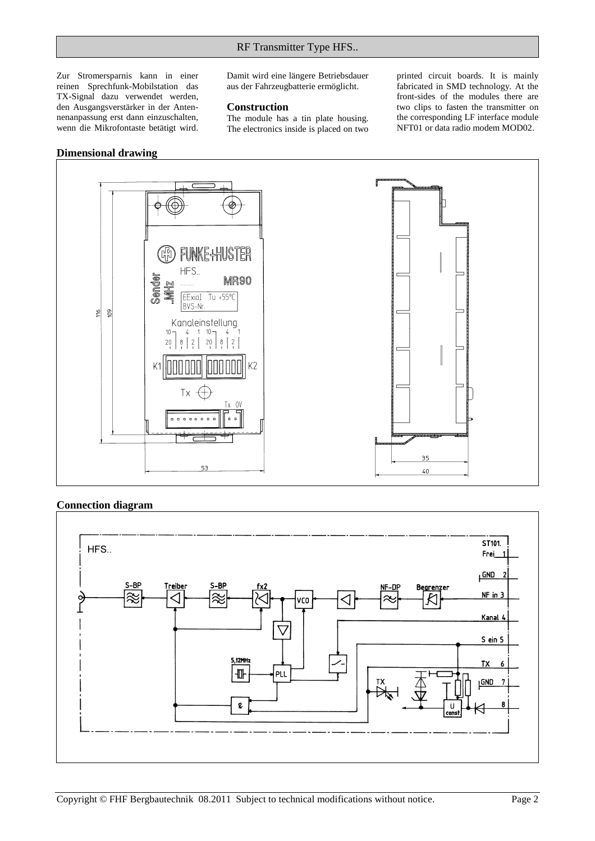Zur Stromersparnis kann in einer reinen Sprechfunk-Mobilstation das TX-Signal dazu verwendet werden, den Ausgangsverstärker in der Antennenanpassung erst dann einzuschalten, wenn die Mikrofontaste betätigt wird.

Damit wird eine längere Betriebsdauer aus der Fahrzeugbatterie ermöglicht.

#### **Construction**

The module has a tin plate housing. The electronics inside is placed on two printed circuit boards. It is mainly fabricated in SMD technology. At the front-sides of the modules there are two clips to fasten the transmitter on the corresponding LF interface module NFT01 or data radio modem MOD02.

#### **Dimensional drawing**



# **Connection diagram**

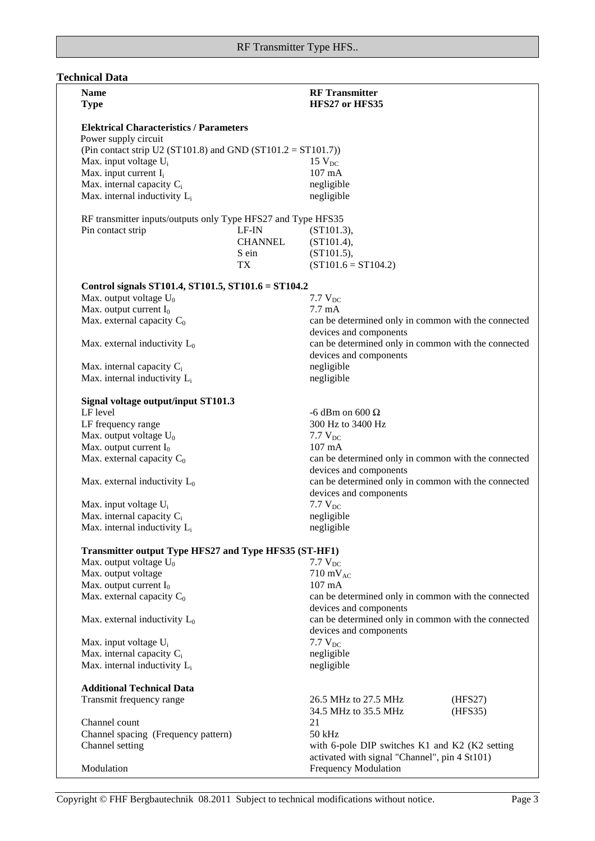| <b>RF</b> Transmitter<br><b>Name</b><br>HFS27 or HFS35<br><b>Type</b><br><b>Elektrical Characteristics / Parameters</b><br>Power supply circuit<br>(Pin contact strip U2 (ST101.8) and GND (ST101.2 = ST101.7))<br>Max. input voltage U <sub>i</sub><br>$15$ $V_{DC}$<br>Max. input current I <sub>i</sub><br>107 mA<br>Max. internal capacity $C_i$<br>negligible<br>Max. internal inductivity L <sub>i</sub><br>negligible<br>RF transmitter inputs/outputs only Type HFS27 and Type HFS35<br>Pin contact strip<br>LF-IN<br>(ST101.3),<br><b>CHANNEL</b><br>(ST101.4),<br>(ST101.5),<br>S ein<br>$(ST101.6 = ST104.2)$<br>TX<br>Control signals ST101.4, ST101.5, ST101.6 = ST104.2<br>Max. output voltage $U_0$<br>7.7 $V_{DC}$<br>Max. output current $I_0$<br>$7.7 \text{ mA}$<br>Max. external capacity $C_0$<br>can be determined only in common with the connected<br>devices and components<br>can be determined only in common with the connected<br>Max. external inductivity $L_0$<br>devices and components<br>Max. internal capacity $C_i$<br>negligible<br>Max. internal inductivity $L_i$<br>negligible<br>Signal voltage output/input ST101.3<br>LF level<br>-6 dBm on 600 $\Omega$<br>300 Hz to 3400 Hz<br>LF frequency range<br>Max. output voltage $U_0$<br>7.7 $V_{DC}$<br>Max. output current $I_0$<br>107 mA<br>Max. external capacity $C_0$<br>can be determined only in common with the connected<br>devices and components<br>can be determined only in common with the connected<br>Max. external inductivity $L_0$<br>devices and components<br>Max. input voltage U <sub>i</sub><br>$7.7 V_{DC}$<br>Max. internal capacity C <sub>i</sub><br>negligible<br>Max. internal inductivity $L_i$<br>negligible<br>Transmitter output Type HFS27 and Type HFS35 (ST-HF1)<br>Max. output voltage $U_0$<br>$7.7 V_{DC}$<br>Max. output voltage<br>$710 \text{ mV}_{AC}$<br>Max. output current $I_0$<br>$107 \text{ mA}$<br>Max. external capacity $C_0$<br>can be determined only in common with the connected<br>devices and components<br>can be determined only in common with the connected<br>Max. external inductivity $L_0$<br>devices and components<br>$7.7 V_{DC}$<br>Max. input voltage U <sub>i</sub><br>Max. internal capacity $C_i$<br>negligible<br>Max. internal inductivity $L_i$<br>negligible<br><b>Additional Technical Data</b><br>26.5 MHz to 27.5 MHz<br>Transmit frequency range<br>(HFS27)<br>34.5 MHz to 35.5 MHz<br>(HFS35)<br>Channel count<br>21<br>Channel spacing (Frequency pattern)<br>$50$ kHz<br>Channel setting<br>with 6-pole DIP switches K1 and K2 (K2 setting<br>activated with signal "Channel", pin 4 St101)<br><b>Frequency Modulation</b><br>Modulation |  |  |  |
|--------------------------------------------------------------------------------------------------------------------------------------------------------------------------------------------------------------------------------------------------------------------------------------------------------------------------------------------------------------------------------------------------------------------------------------------------------------------------------------------------------------------------------------------------------------------------------------------------------------------------------------------------------------------------------------------------------------------------------------------------------------------------------------------------------------------------------------------------------------------------------------------------------------------------------------------------------------------------------------------------------------------------------------------------------------------------------------------------------------------------------------------------------------------------------------------------------------------------------------------------------------------------------------------------------------------------------------------------------------------------------------------------------------------------------------------------------------------------------------------------------------------------------------------------------------------------------------------------------------------------------------------------------------------------------------------------------------------------------------------------------------------------------------------------------------------------------------------------------------------------------------------------------------------------------------------------------------------------------------------------------------------------------------------------------------------------------------------------------------------------------------------------------------------------------------------------------------------------------------------------------------------------------------------------------------------------------------------------------------------------------------------------------------------------------------------------------------------------------------------------------------------------------------------------------------------------------------------------------------------------------------------------------------------------------------------------------------------------|--|--|--|
|                                                                                                                                                                                                                                                                                                                                                                                                                                                                                                                                                                                                                                                                                                                                                                                                                                                                                                                                                                                                                                                                                                                                                                                                                                                                                                                                                                                                                                                                                                                                                                                                                                                                                                                                                                                                                                                                                                                                                                                                                                                                                                                                                                                                                                                                                                                                                                                                                                                                                                                                                                                                                                                                                                                          |  |  |  |
|                                                                                                                                                                                                                                                                                                                                                                                                                                                                                                                                                                                                                                                                                                                                                                                                                                                                                                                                                                                                                                                                                                                                                                                                                                                                                                                                                                                                                                                                                                                                                                                                                                                                                                                                                                                                                                                                                                                                                                                                                                                                                                                                                                                                                                                                                                                                                                                                                                                                                                                                                                                                                                                                                                                          |  |  |  |
|                                                                                                                                                                                                                                                                                                                                                                                                                                                                                                                                                                                                                                                                                                                                                                                                                                                                                                                                                                                                                                                                                                                                                                                                                                                                                                                                                                                                                                                                                                                                                                                                                                                                                                                                                                                                                                                                                                                                                                                                                                                                                                                                                                                                                                                                                                                                                                                                                                                                                                                                                                                                                                                                                                                          |  |  |  |
|                                                                                                                                                                                                                                                                                                                                                                                                                                                                                                                                                                                                                                                                                                                                                                                                                                                                                                                                                                                                                                                                                                                                                                                                                                                                                                                                                                                                                                                                                                                                                                                                                                                                                                                                                                                                                                                                                                                                                                                                                                                                                                                                                                                                                                                                                                                                                                                                                                                                                                                                                                                                                                                                                                                          |  |  |  |
|                                                                                                                                                                                                                                                                                                                                                                                                                                                                                                                                                                                                                                                                                                                                                                                                                                                                                                                                                                                                                                                                                                                                                                                                                                                                                                                                                                                                                                                                                                                                                                                                                                                                                                                                                                                                                                                                                                                                                                                                                                                                                                                                                                                                                                                                                                                                                                                                                                                                                                                                                                                                                                                                                                                          |  |  |  |
|                                                                                                                                                                                                                                                                                                                                                                                                                                                                                                                                                                                                                                                                                                                                                                                                                                                                                                                                                                                                                                                                                                                                                                                                                                                                                                                                                                                                                                                                                                                                                                                                                                                                                                                                                                                                                                                                                                                                                                                                                                                                                                                                                                                                                                                                                                                                                                                                                                                                                                                                                                                                                                                                                                                          |  |  |  |
|                                                                                                                                                                                                                                                                                                                                                                                                                                                                                                                                                                                                                                                                                                                                                                                                                                                                                                                                                                                                                                                                                                                                                                                                                                                                                                                                                                                                                                                                                                                                                                                                                                                                                                                                                                                                                                                                                                                                                                                                                                                                                                                                                                                                                                                                                                                                                                                                                                                                                                                                                                                                                                                                                                                          |  |  |  |
|                                                                                                                                                                                                                                                                                                                                                                                                                                                                                                                                                                                                                                                                                                                                                                                                                                                                                                                                                                                                                                                                                                                                                                                                                                                                                                                                                                                                                                                                                                                                                                                                                                                                                                                                                                                                                                                                                                                                                                                                                                                                                                                                                                                                                                                                                                                                                                                                                                                                                                                                                                                                                                                                                                                          |  |  |  |
|                                                                                                                                                                                                                                                                                                                                                                                                                                                                                                                                                                                                                                                                                                                                                                                                                                                                                                                                                                                                                                                                                                                                                                                                                                                                                                                                                                                                                                                                                                                                                                                                                                                                                                                                                                                                                                                                                                                                                                                                                                                                                                                                                                                                                                                                                                                                                                                                                                                                                                                                                                                                                                                                                                                          |  |  |  |
|                                                                                                                                                                                                                                                                                                                                                                                                                                                                                                                                                                                                                                                                                                                                                                                                                                                                                                                                                                                                                                                                                                                                                                                                                                                                                                                                                                                                                                                                                                                                                                                                                                                                                                                                                                                                                                                                                                                                                                                                                                                                                                                                                                                                                                                                                                                                                                                                                                                                                                                                                                                                                                                                                                                          |  |  |  |
|                                                                                                                                                                                                                                                                                                                                                                                                                                                                                                                                                                                                                                                                                                                                                                                                                                                                                                                                                                                                                                                                                                                                                                                                                                                                                                                                                                                                                                                                                                                                                                                                                                                                                                                                                                                                                                                                                                                                                                                                                                                                                                                                                                                                                                                                                                                                                                                                                                                                                                                                                                                                                                                                                                                          |  |  |  |
|                                                                                                                                                                                                                                                                                                                                                                                                                                                                                                                                                                                                                                                                                                                                                                                                                                                                                                                                                                                                                                                                                                                                                                                                                                                                                                                                                                                                                                                                                                                                                                                                                                                                                                                                                                                                                                                                                                                                                                                                                                                                                                                                                                                                                                                                                                                                                                                                                                                                                                                                                                                                                                                                                                                          |  |  |  |
|                                                                                                                                                                                                                                                                                                                                                                                                                                                                                                                                                                                                                                                                                                                                                                                                                                                                                                                                                                                                                                                                                                                                                                                                                                                                                                                                                                                                                                                                                                                                                                                                                                                                                                                                                                                                                                                                                                                                                                                                                                                                                                                                                                                                                                                                                                                                                                                                                                                                                                                                                                                                                                                                                                                          |  |  |  |
|                                                                                                                                                                                                                                                                                                                                                                                                                                                                                                                                                                                                                                                                                                                                                                                                                                                                                                                                                                                                                                                                                                                                                                                                                                                                                                                                                                                                                                                                                                                                                                                                                                                                                                                                                                                                                                                                                                                                                                                                                                                                                                                                                                                                                                                                                                                                                                                                                                                                                                                                                                                                                                                                                                                          |  |  |  |
|                                                                                                                                                                                                                                                                                                                                                                                                                                                                                                                                                                                                                                                                                                                                                                                                                                                                                                                                                                                                                                                                                                                                                                                                                                                                                                                                                                                                                                                                                                                                                                                                                                                                                                                                                                                                                                                                                                                                                                                                                                                                                                                                                                                                                                                                                                                                                                                                                                                                                                                                                                                                                                                                                                                          |  |  |  |
|                                                                                                                                                                                                                                                                                                                                                                                                                                                                                                                                                                                                                                                                                                                                                                                                                                                                                                                                                                                                                                                                                                                                                                                                                                                                                                                                                                                                                                                                                                                                                                                                                                                                                                                                                                                                                                                                                                                                                                                                                                                                                                                                                                                                                                                                                                                                                                                                                                                                                                                                                                                                                                                                                                                          |  |  |  |
|                                                                                                                                                                                                                                                                                                                                                                                                                                                                                                                                                                                                                                                                                                                                                                                                                                                                                                                                                                                                                                                                                                                                                                                                                                                                                                                                                                                                                                                                                                                                                                                                                                                                                                                                                                                                                                                                                                                                                                                                                                                                                                                                                                                                                                                                                                                                                                                                                                                                                                                                                                                                                                                                                                                          |  |  |  |
|                                                                                                                                                                                                                                                                                                                                                                                                                                                                                                                                                                                                                                                                                                                                                                                                                                                                                                                                                                                                                                                                                                                                                                                                                                                                                                                                                                                                                                                                                                                                                                                                                                                                                                                                                                                                                                                                                                                                                                                                                                                                                                                                                                                                                                                                                                                                                                                                                                                                                                                                                                                                                                                                                                                          |  |  |  |
|                                                                                                                                                                                                                                                                                                                                                                                                                                                                                                                                                                                                                                                                                                                                                                                                                                                                                                                                                                                                                                                                                                                                                                                                                                                                                                                                                                                                                                                                                                                                                                                                                                                                                                                                                                                                                                                                                                                                                                                                                                                                                                                                                                                                                                                                                                                                                                                                                                                                                                                                                                                                                                                                                                                          |  |  |  |
|                                                                                                                                                                                                                                                                                                                                                                                                                                                                                                                                                                                                                                                                                                                                                                                                                                                                                                                                                                                                                                                                                                                                                                                                                                                                                                                                                                                                                                                                                                                                                                                                                                                                                                                                                                                                                                                                                                                                                                                                                                                                                                                                                                                                                                                                                                                                                                                                                                                                                                                                                                                                                                                                                                                          |  |  |  |
|                                                                                                                                                                                                                                                                                                                                                                                                                                                                                                                                                                                                                                                                                                                                                                                                                                                                                                                                                                                                                                                                                                                                                                                                                                                                                                                                                                                                                                                                                                                                                                                                                                                                                                                                                                                                                                                                                                                                                                                                                                                                                                                                                                                                                                                                                                                                                                                                                                                                                                                                                                                                                                                                                                                          |  |  |  |
|                                                                                                                                                                                                                                                                                                                                                                                                                                                                                                                                                                                                                                                                                                                                                                                                                                                                                                                                                                                                                                                                                                                                                                                                                                                                                                                                                                                                                                                                                                                                                                                                                                                                                                                                                                                                                                                                                                                                                                                                                                                                                                                                                                                                                                                                                                                                                                                                                                                                                                                                                                                                                                                                                                                          |  |  |  |
|                                                                                                                                                                                                                                                                                                                                                                                                                                                                                                                                                                                                                                                                                                                                                                                                                                                                                                                                                                                                                                                                                                                                                                                                                                                                                                                                                                                                                                                                                                                                                                                                                                                                                                                                                                                                                                                                                                                                                                                                                                                                                                                                                                                                                                                                                                                                                                                                                                                                                                                                                                                                                                                                                                                          |  |  |  |
|                                                                                                                                                                                                                                                                                                                                                                                                                                                                                                                                                                                                                                                                                                                                                                                                                                                                                                                                                                                                                                                                                                                                                                                                                                                                                                                                                                                                                                                                                                                                                                                                                                                                                                                                                                                                                                                                                                                                                                                                                                                                                                                                                                                                                                                                                                                                                                                                                                                                                                                                                                                                                                                                                                                          |  |  |  |
|                                                                                                                                                                                                                                                                                                                                                                                                                                                                                                                                                                                                                                                                                                                                                                                                                                                                                                                                                                                                                                                                                                                                                                                                                                                                                                                                                                                                                                                                                                                                                                                                                                                                                                                                                                                                                                                                                                                                                                                                                                                                                                                                                                                                                                                                                                                                                                                                                                                                                                                                                                                                                                                                                                                          |  |  |  |
|                                                                                                                                                                                                                                                                                                                                                                                                                                                                                                                                                                                                                                                                                                                                                                                                                                                                                                                                                                                                                                                                                                                                                                                                                                                                                                                                                                                                                                                                                                                                                                                                                                                                                                                                                                                                                                                                                                                                                                                                                                                                                                                                                                                                                                                                                                                                                                                                                                                                                                                                                                                                                                                                                                                          |  |  |  |
|                                                                                                                                                                                                                                                                                                                                                                                                                                                                                                                                                                                                                                                                                                                                                                                                                                                                                                                                                                                                                                                                                                                                                                                                                                                                                                                                                                                                                                                                                                                                                                                                                                                                                                                                                                                                                                                                                                                                                                                                                                                                                                                                                                                                                                                                                                                                                                                                                                                                                                                                                                                                                                                                                                                          |  |  |  |
|                                                                                                                                                                                                                                                                                                                                                                                                                                                                                                                                                                                                                                                                                                                                                                                                                                                                                                                                                                                                                                                                                                                                                                                                                                                                                                                                                                                                                                                                                                                                                                                                                                                                                                                                                                                                                                                                                                                                                                                                                                                                                                                                                                                                                                                                                                                                                                                                                                                                                                                                                                                                                                                                                                                          |  |  |  |
|                                                                                                                                                                                                                                                                                                                                                                                                                                                                                                                                                                                                                                                                                                                                                                                                                                                                                                                                                                                                                                                                                                                                                                                                                                                                                                                                                                                                                                                                                                                                                                                                                                                                                                                                                                                                                                                                                                                                                                                                                                                                                                                                                                                                                                                                                                                                                                                                                                                                                                                                                                                                                                                                                                                          |  |  |  |
|                                                                                                                                                                                                                                                                                                                                                                                                                                                                                                                                                                                                                                                                                                                                                                                                                                                                                                                                                                                                                                                                                                                                                                                                                                                                                                                                                                                                                                                                                                                                                                                                                                                                                                                                                                                                                                                                                                                                                                                                                                                                                                                                                                                                                                                                                                                                                                                                                                                                                                                                                                                                                                                                                                                          |  |  |  |
|                                                                                                                                                                                                                                                                                                                                                                                                                                                                                                                                                                                                                                                                                                                                                                                                                                                                                                                                                                                                                                                                                                                                                                                                                                                                                                                                                                                                                                                                                                                                                                                                                                                                                                                                                                                                                                                                                                                                                                                                                                                                                                                                                                                                                                                                                                                                                                                                                                                                                                                                                                                                                                                                                                                          |  |  |  |
|                                                                                                                                                                                                                                                                                                                                                                                                                                                                                                                                                                                                                                                                                                                                                                                                                                                                                                                                                                                                                                                                                                                                                                                                                                                                                                                                                                                                                                                                                                                                                                                                                                                                                                                                                                                                                                                                                                                                                                                                                                                                                                                                                                                                                                                                                                                                                                                                                                                                                                                                                                                                                                                                                                                          |  |  |  |
|                                                                                                                                                                                                                                                                                                                                                                                                                                                                                                                                                                                                                                                                                                                                                                                                                                                                                                                                                                                                                                                                                                                                                                                                                                                                                                                                                                                                                                                                                                                                                                                                                                                                                                                                                                                                                                                                                                                                                                                                                                                                                                                                                                                                                                                                                                                                                                                                                                                                                                                                                                                                                                                                                                                          |  |  |  |
|                                                                                                                                                                                                                                                                                                                                                                                                                                                                                                                                                                                                                                                                                                                                                                                                                                                                                                                                                                                                                                                                                                                                                                                                                                                                                                                                                                                                                                                                                                                                                                                                                                                                                                                                                                                                                                                                                                                                                                                                                                                                                                                                                                                                                                                                                                                                                                                                                                                                                                                                                                                                                                                                                                                          |  |  |  |
|                                                                                                                                                                                                                                                                                                                                                                                                                                                                                                                                                                                                                                                                                                                                                                                                                                                                                                                                                                                                                                                                                                                                                                                                                                                                                                                                                                                                                                                                                                                                                                                                                                                                                                                                                                                                                                                                                                                                                                                                                                                                                                                                                                                                                                                                                                                                                                                                                                                                                                                                                                                                                                                                                                                          |  |  |  |
|                                                                                                                                                                                                                                                                                                                                                                                                                                                                                                                                                                                                                                                                                                                                                                                                                                                                                                                                                                                                                                                                                                                                                                                                                                                                                                                                                                                                                                                                                                                                                                                                                                                                                                                                                                                                                                                                                                                                                                                                                                                                                                                                                                                                                                                                                                                                                                                                                                                                                                                                                                                                                                                                                                                          |  |  |  |
|                                                                                                                                                                                                                                                                                                                                                                                                                                                                                                                                                                                                                                                                                                                                                                                                                                                                                                                                                                                                                                                                                                                                                                                                                                                                                                                                                                                                                                                                                                                                                                                                                                                                                                                                                                                                                                                                                                                                                                                                                                                                                                                                                                                                                                                                                                                                                                                                                                                                                                                                                                                                                                                                                                                          |  |  |  |
|                                                                                                                                                                                                                                                                                                                                                                                                                                                                                                                                                                                                                                                                                                                                                                                                                                                                                                                                                                                                                                                                                                                                                                                                                                                                                                                                                                                                                                                                                                                                                                                                                                                                                                                                                                                                                                                                                                                                                                                                                                                                                                                                                                                                                                                                                                                                                                                                                                                                                                                                                                                                                                                                                                                          |  |  |  |
|                                                                                                                                                                                                                                                                                                                                                                                                                                                                                                                                                                                                                                                                                                                                                                                                                                                                                                                                                                                                                                                                                                                                                                                                                                                                                                                                                                                                                                                                                                                                                                                                                                                                                                                                                                                                                                                                                                                                                                                                                                                                                                                                                                                                                                                                                                                                                                                                                                                                                                                                                                                                                                                                                                                          |  |  |  |
|                                                                                                                                                                                                                                                                                                                                                                                                                                                                                                                                                                                                                                                                                                                                                                                                                                                                                                                                                                                                                                                                                                                                                                                                                                                                                                                                                                                                                                                                                                                                                                                                                                                                                                                                                                                                                                                                                                                                                                                                                                                                                                                                                                                                                                                                                                                                                                                                                                                                                                                                                                                                                                                                                                                          |  |  |  |
|                                                                                                                                                                                                                                                                                                                                                                                                                                                                                                                                                                                                                                                                                                                                                                                                                                                                                                                                                                                                                                                                                                                                                                                                                                                                                                                                                                                                                                                                                                                                                                                                                                                                                                                                                                                                                                                                                                                                                                                                                                                                                                                                                                                                                                                                                                                                                                                                                                                                                                                                                                                                                                                                                                                          |  |  |  |
|                                                                                                                                                                                                                                                                                                                                                                                                                                                                                                                                                                                                                                                                                                                                                                                                                                                                                                                                                                                                                                                                                                                                                                                                                                                                                                                                                                                                                                                                                                                                                                                                                                                                                                                                                                                                                                                                                                                                                                                                                                                                                                                                                                                                                                                                                                                                                                                                                                                                                                                                                                                                                                                                                                                          |  |  |  |
|                                                                                                                                                                                                                                                                                                                                                                                                                                                                                                                                                                                                                                                                                                                                                                                                                                                                                                                                                                                                                                                                                                                                                                                                                                                                                                                                                                                                                                                                                                                                                                                                                                                                                                                                                                                                                                                                                                                                                                                                                                                                                                                                                                                                                                                                                                                                                                                                                                                                                                                                                                                                                                                                                                                          |  |  |  |
|                                                                                                                                                                                                                                                                                                                                                                                                                                                                                                                                                                                                                                                                                                                                                                                                                                                                                                                                                                                                                                                                                                                                                                                                                                                                                                                                                                                                                                                                                                                                                                                                                                                                                                                                                                                                                                                                                                                                                                                                                                                                                                                                                                                                                                                                                                                                                                                                                                                                                                                                                                                                                                                                                                                          |  |  |  |
|                                                                                                                                                                                                                                                                                                                                                                                                                                                                                                                                                                                                                                                                                                                                                                                                                                                                                                                                                                                                                                                                                                                                                                                                                                                                                                                                                                                                                                                                                                                                                                                                                                                                                                                                                                                                                                                                                                                                                                                                                                                                                                                                                                                                                                                                                                                                                                                                                                                                                                                                                                                                                                                                                                                          |  |  |  |
|                                                                                                                                                                                                                                                                                                                                                                                                                                                                                                                                                                                                                                                                                                                                                                                                                                                                                                                                                                                                                                                                                                                                                                                                                                                                                                                                                                                                                                                                                                                                                                                                                                                                                                                                                                                                                                                                                                                                                                                                                                                                                                                                                                                                                                                                                                                                                                                                                                                                                                                                                                                                                                                                                                                          |  |  |  |
|                                                                                                                                                                                                                                                                                                                                                                                                                                                                                                                                                                                                                                                                                                                                                                                                                                                                                                                                                                                                                                                                                                                                                                                                                                                                                                                                                                                                                                                                                                                                                                                                                                                                                                                                                                                                                                                                                                                                                                                                                                                                                                                                                                                                                                                                                                                                                                                                                                                                                                                                                                                                                                                                                                                          |  |  |  |
|                                                                                                                                                                                                                                                                                                                                                                                                                                                                                                                                                                                                                                                                                                                                                                                                                                                                                                                                                                                                                                                                                                                                                                                                                                                                                                                                                                                                                                                                                                                                                                                                                                                                                                                                                                                                                                                                                                                                                                                                                                                                                                                                                                                                                                                                                                                                                                                                                                                                                                                                                                                                                                                                                                                          |  |  |  |
|                                                                                                                                                                                                                                                                                                                                                                                                                                                                                                                                                                                                                                                                                                                                                                                                                                                                                                                                                                                                                                                                                                                                                                                                                                                                                                                                                                                                                                                                                                                                                                                                                                                                                                                                                                                                                                                                                                                                                                                                                                                                                                                                                                                                                                                                                                                                                                                                                                                                                                                                                                                                                                                                                                                          |  |  |  |
|                                                                                                                                                                                                                                                                                                                                                                                                                                                                                                                                                                                                                                                                                                                                                                                                                                                                                                                                                                                                                                                                                                                                                                                                                                                                                                                                                                                                                                                                                                                                                                                                                                                                                                                                                                                                                                                                                                                                                                                                                                                                                                                                                                                                                                                                                                                                                                                                                                                                                                                                                                                                                                                                                                                          |  |  |  |
|                                                                                                                                                                                                                                                                                                                                                                                                                                                                                                                                                                                                                                                                                                                                                                                                                                                                                                                                                                                                                                                                                                                                                                                                                                                                                                                                                                                                                                                                                                                                                                                                                                                                                                                                                                                                                                                                                                                                                                                                                                                                                                                                                                                                                                                                                                                                                                                                                                                                                                                                                                                                                                                                                                                          |  |  |  |
|                                                                                                                                                                                                                                                                                                                                                                                                                                                                                                                                                                                                                                                                                                                                                                                                                                                                                                                                                                                                                                                                                                                                                                                                                                                                                                                                                                                                                                                                                                                                                                                                                                                                                                                                                                                                                                                                                                                                                                                                                                                                                                                                                                                                                                                                                                                                                                                                                                                                                                                                                                                                                                                                                                                          |  |  |  |
|                                                                                                                                                                                                                                                                                                                                                                                                                                                                                                                                                                                                                                                                                                                                                                                                                                                                                                                                                                                                                                                                                                                                                                                                                                                                                                                                                                                                                                                                                                                                                                                                                                                                                                                                                                                                                                                                                                                                                                                                                                                                                                                                                                                                                                                                                                                                                                                                                                                                                                                                                                                                                                                                                                                          |  |  |  |
|                                                                                                                                                                                                                                                                                                                                                                                                                                                                                                                                                                                                                                                                                                                                                                                                                                                                                                                                                                                                                                                                                                                                                                                                                                                                                                                                                                                                                                                                                                                                                                                                                                                                                                                                                                                                                                                                                                                                                                                                                                                                                                                                                                                                                                                                                                                                                                                                                                                                                                                                                                                                                                                                                                                          |  |  |  |
|                                                                                                                                                                                                                                                                                                                                                                                                                                                                                                                                                                                                                                                                                                                                                                                                                                                                                                                                                                                                                                                                                                                                                                                                                                                                                                                                                                                                                                                                                                                                                                                                                                                                                                                                                                                                                                                                                                                                                                                                                                                                                                                                                                                                                                                                                                                                                                                                                                                                                                                                                                                                                                                                                                                          |  |  |  |
|                                                                                                                                                                                                                                                                                                                                                                                                                                                                                                                                                                                                                                                                                                                                                                                                                                                                                                                                                                                                                                                                                                                                                                                                                                                                                                                                                                                                                                                                                                                                                                                                                                                                                                                                                                                                                                                                                                                                                                                                                                                                                                                                                                                                                                                                                                                                                                                                                                                                                                                                                                                                                                                                                                                          |  |  |  |
|                                                                                                                                                                                                                                                                                                                                                                                                                                                                                                                                                                                                                                                                                                                                                                                                                                                                                                                                                                                                                                                                                                                                                                                                                                                                                                                                                                                                                                                                                                                                                                                                                                                                                                                                                                                                                                                                                                                                                                                                                                                                                                                                                                                                                                                                                                                                                                                                                                                                                                                                                                                                                                                                                                                          |  |  |  |
|                                                                                                                                                                                                                                                                                                                                                                                                                                                                                                                                                                                                                                                                                                                                                                                                                                                                                                                                                                                                                                                                                                                                                                                                                                                                                                                                                                                                                                                                                                                                                                                                                                                                                                                                                                                                                                                                                                                                                                                                                                                                                                                                                                                                                                                                                                                                                                                                                                                                                                                                                                                                                                                                                                                          |  |  |  |
|                                                                                                                                                                                                                                                                                                                                                                                                                                                                                                                                                                                                                                                                                                                                                                                                                                                                                                                                                                                                                                                                                                                                                                                                                                                                                                                                                                                                                                                                                                                                                                                                                                                                                                                                                                                                                                                                                                                                                                                                                                                                                                                                                                                                                                                                                                                                                                                                                                                                                                                                                                                                                                                                                                                          |  |  |  |
|                                                                                                                                                                                                                                                                                                                                                                                                                                                                                                                                                                                                                                                                                                                                                                                                                                                                                                                                                                                                                                                                                                                                                                                                                                                                                                                                                                                                                                                                                                                                                                                                                                                                                                                                                                                                                                                                                                                                                                                                                                                                                                                                                                                                                                                                                                                                                                                                                                                                                                                                                                                                                                                                                                                          |  |  |  |
|                                                                                                                                                                                                                                                                                                                                                                                                                                                                                                                                                                                                                                                                                                                                                                                                                                                                                                                                                                                                                                                                                                                                                                                                                                                                                                                                                                                                                                                                                                                                                                                                                                                                                                                                                                                                                                                                                                                                                                                                                                                                                                                                                                                                                                                                                                                                                                                                                                                                                                                                                                                                                                                                                                                          |  |  |  |
|                                                                                                                                                                                                                                                                                                                                                                                                                                                                                                                                                                                                                                                                                                                                                                                                                                                                                                                                                                                                                                                                                                                                                                                                                                                                                                                                                                                                                                                                                                                                                                                                                                                                                                                                                                                                                                                                                                                                                                                                                                                                                                                                                                                                                                                                                                                                                                                                                                                                                                                                                                                                                                                                                                                          |  |  |  |
|                                                                                                                                                                                                                                                                                                                                                                                                                                                                                                                                                                                                                                                                                                                                                                                                                                                                                                                                                                                                                                                                                                                                                                                                                                                                                                                                                                                                                                                                                                                                                                                                                                                                                                                                                                                                                                                                                                                                                                                                                                                                                                                                                                                                                                                                                                                                                                                                                                                                                                                                                                                                                                                                                                                          |  |  |  |
|                                                                                                                                                                                                                                                                                                                                                                                                                                                                                                                                                                                                                                                                                                                                                                                                                                                                                                                                                                                                                                                                                                                                                                                                                                                                                                                                                                                                                                                                                                                                                                                                                                                                                                                                                                                                                                                                                                                                                                                                                                                                                                                                                                                                                                                                                                                                                                                                                                                                                                                                                                                                                                                                                                                          |  |  |  |
|                                                                                                                                                                                                                                                                                                                                                                                                                                                                                                                                                                                                                                                                                                                                                                                                                                                                                                                                                                                                                                                                                                                                                                                                                                                                                                                                                                                                                                                                                                                                                                                                                                                                                                                                                                                                                                                                                                                                                                                                                                                                                                                                                                                                                                                                                                                                                                                                                                                                                                                                                                                                                                                                                                                          |  |  |  |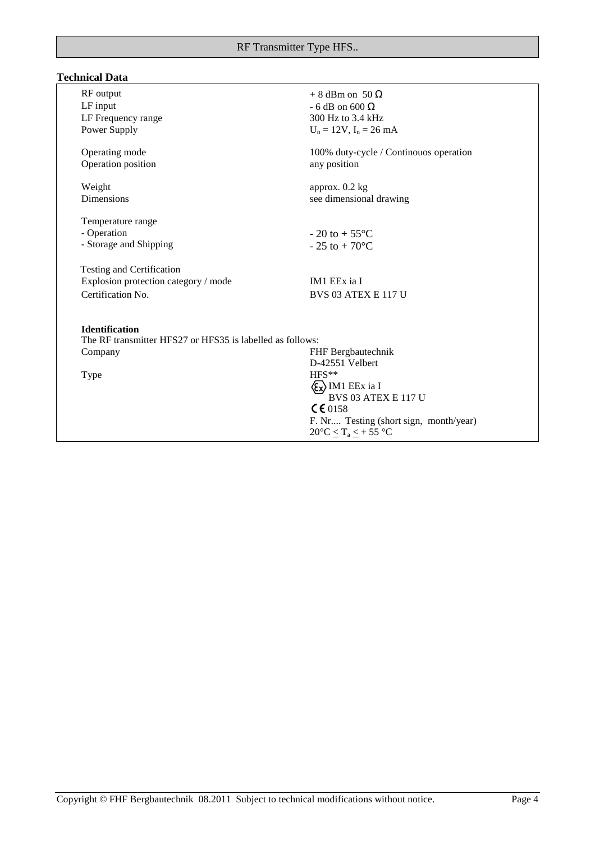# **Technical Data**

| RF output<br>LF input<br>LF Frequency range<br>Power Supply                            | $+8$ dBm on 50 $\Omega$<br>- 6 dB on 600 $\Omega$<br>300 Hz to 3.4 kHz<br>$U_n = 12V$ , $I_n = 26$ mA                |
|----------------------------------------------------------------------------------------|----------------------------------------------------------------------------------------------------------------------|
| Operating mode<br>Operation position                                                   | 100% duty-cycle / Continouos operation<br>any position                                                               |
| Weight<br>Dimensions                                                                   | approx. 0.2 kg<br>see dimensional drawing                                                                            |
| Temperature range<br>- Operation<br>- Storage and Shipping                             | $-20$ to $+55^{\circ}$ C<br>$-25$ to $+70^{\circ}$ C                                                                 |
| Testing and Certification<br>Explosion protection category / mode<br>Certification No. | IM1 EEx ia I<br><b>BVS 03 ATEX E 117 U</b>                                                                           |
| <b>Identification</b><br>The RF transmitter HFS27 or HFS35 is labelled as follows:     |                                                                                                                      |
| Company<br>Type                                                                        | FHF Bergbautechnik<br>D-42551 Velbert<br>HFS**<br>$\langle \xi_x \rangle$ IM1 EEx ia I<br><b>BVS 03 ATEX E 117 U</b> |
|                                                                                        | $CE$ 0158<br>F. Nr Testing (short sign, month/year)<br>$20^{\circ}C \leq T_a \leq +55^{\circ}C$                      |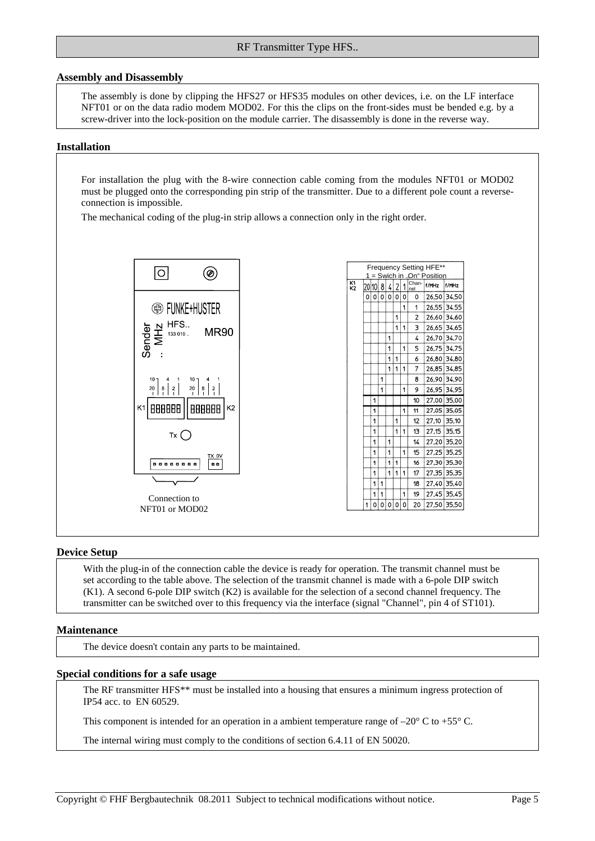## RF Transmitter Type HFS..

#### **Assembly and Disassembly**

The assembly is done by clipping the HFS27 or HFS35 modules on other devices, i.e. on the LF interface NFT01 or on the data radio modem MOD02. For this the clips on the front-sides must be bended e.g. by a screw-driver into the lock-position on the module carrier. The disassembly is done in the reverse way.

#### **Installation**

For installation the plug with the 8-wire connection cable coming from the modules NFT01 or MOD02 must be plugged onto the corresponding pin strip of the transmitter. Due to a different pole count a reverseconnection is impossible.

 $\overline{\mathbf{k}}$ 

The mechanical coding of the plug-in strip allows a connection only in the right order.



| Frequency Setting HFE**<br>Swich in<br>On"<br>Position |          |       |              |   |   |   |                |       |             |
|--------------------------------------------------------|----------|-------|--------------|---|---|---|----------------|-------|-------------|
|                                                        |          |       |              |   |   |   |                |       |             |
| 1<br>2                                                 |          | 20101 | 8            | 4 | 2 | 1 | Chan-<br>nel   | f/MHz | f/MHz       |
|                                                        | $\Omega$ | O     | $\mathbf{0}$ | Ó | Ó | 0 | ٥              | 26,50 | 34,50       |
|                                                        |          |       |              |   |   | 1 | 1              | 26,55 | 34.55       |
|                                                        |          |       |              |   | 1 |   | $\overline{c}$ | 26,60 | 34,60       |
|                                                        |          |       |              |   | 1 | 1 | Э              |       | 26,65 34,65 |
|                                                        |          |       |              | 1 |   |   | 4              | 26,70 | 34.70       |
|                                                        |          |       |              | 1 |   | 1 | 5              | 26.75 | 34,75       |
|                                                        |          |       |              | 1 | 1 |   | 6              | 26.80 | 34.80       |
|                                                        |          |       |              | 1 | 1 | 1 | 7              | 26.85 | 34,85       |
|                                                        |          |       | 1            |   |   |   | 8              | 26,90 | 34,90       |
|                                                        |          |       | 1            |   |   | 1 | 9              | 26,95 | 34,95       |
|                                                        |          | 1     |              |   |   |   | 10             | 27,00 | 35,00       |
|                                                        |          | 1     |              |   |   | 1 | 11             | 27.05 | 35,05       |
|                                                        |          | 1     |              |   | 1 |   | 12             | 27.10 | 35.10       |
|                                                        |          | 1     |              |   | 1 | 1 | 13             | 27,15 | 35.15       |
|                                                        |          | 1     |              | 1 |   |   | 14             | 27,20 | 35,20       |
|                                                        |          | 1     |              | 1 |   | 1 | 15             | 27,25 | 35,25       |
|                                                        |          | 1     |              | 1 | 1 |   | 16             | 27,30 | 35,30       |
|                                                        |          | 1     |              | 1 | 1 | 1 | 17             | 27.35 | 35,35       |
|                                                        |          | 1     | 1            |   |   |   | 18             | 27.40 | 35,40       |
|                                                        |          | 1     | 1            |   |   | 1 | 19             | 27.45 | 35,45       |
|                                                        | 1        | 0     | 0            | 0 | O | 0 | 20             | 27,50 | 35,50       |
|                                                        |          |       |              |   |   |   |                |       |             |

#### **Device Setup**

With the plug-in of the connection cable the device is ready for operation. The transmit channel must be set according to the table above. The selection of the transmit channel is made with a 6-pole DIP switch (K1). A second 6-pole DIP switch (K2) is available for the selection of a second channel frequency. The transmitter can be switched over to this frequency via the interface (signal "Channel", pin 4 of ST101).

## **Maintenance**

The device doesn't contain any parts to be maintained.

#### **Special conditions for a safe usage**

The RF transmitter HFS\*\* must be installed into a housing that ensures a minimum ingress protection of IP54 acc. to EN 60529.

This component is intended for an operation in a ambient temperature range of  $-20^{\circ}$  C to +55° C.

The internal wiring must comply to the conditions of section 6.4.11 of EN 50020.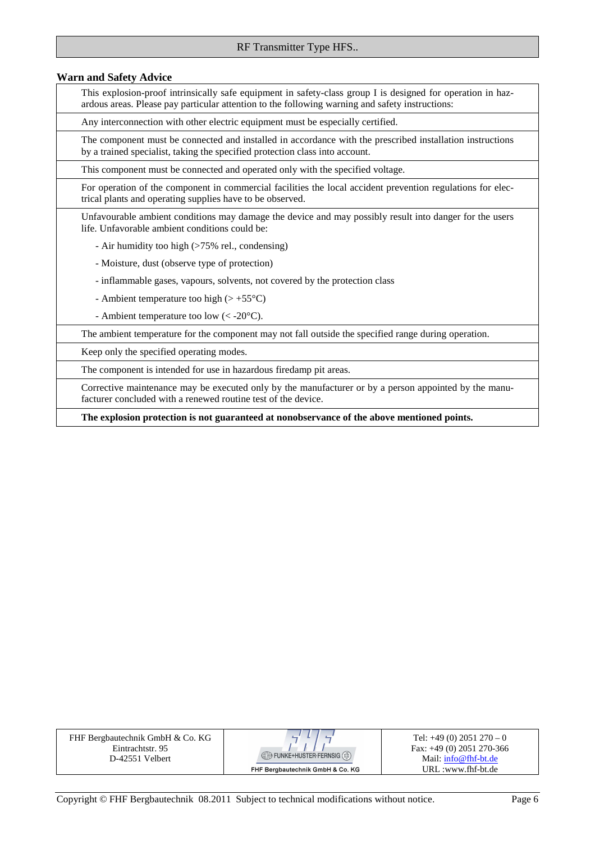# RF Transmitter Type HFS..

#### **Warn and Safety Advice**

This explosion-proof intrinsically safe equipment in safety-class group I is designed for operation in hazardous areas. Please pay particular attention to the following warning and safety instructions:

Any interconnection with other electric equipment must be especially certified.

The component must be connected and installed in accordance with the prescribed installation instructions by a trained specialist, taking the specified protection class into account.

This component must be connected and operated only with the specified voltage.

For operation of the component in commercial facilities the local accident prevention regulations for electrical plants and operating supplies have to be observed.

Unfavourable ambient conditions may damage the device and may possibly result into danger for the users life. Unfavorable ambient conditions could be:

- Air humidity too high (>75% rel., condensing)
- Moisture, dust (observe type of protection)
- inflammable gases, vapours, solvents, not covered by the protection class
- Ambient temperature too high  $(> +55^{\circ}C)$
- Ambient temperature too low  $(< -20^{\circ}C)$ .

The ambient temperature for the component may not fall outside the specified range during operation.

Keep only the specified operating modes.

The component is intended for use in hazardous firedamp pit areas.

Corrective maintenance may be executed only by the manufacturer or by a person appointed by the manufacturer concluded with a renewed routine test of the device.

**The explosion protection is not guaranteed at nonobservance of the above mentioned points.** 

| FHF Bergbautechnik GmbH & Co. KG |
|----------------------------------|
| Eintrachtstr. 95                 |
| D-42551 Velbert                  |